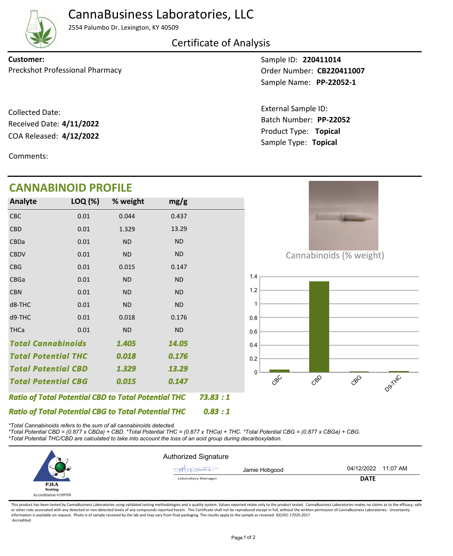

## CannaBusiness Laboratories, LLC

2554 Palumbo Dr. Lexington, KY 40509

Certificate of Analysis

Preckshot Professional Pharmacy **Dream Control CESS** Order Number: **CB220411007 Customer:**

COA Released: Collected Date: Received Date: **4/11/2022**

Comments:

Sample ID: **220411014 PP-22052-1** Sample Name:

Product Type: **Topical 4/12/2022** Batch Number: **PP-22052** External Sample ID: Sample Type: **Topical**

| <b>CANNABINOID PROFILE</b>                                 |         |           |           |         |                              |
|------------------------------------------------------------|---------|-----------|-----------|---------|------------------------------|
| Analyte                                                    | LOQ (%) | % weight  | mg/g      |         |                              |
| <b>CBC</b>                                                 | 0.01    | 0.044     | 0.437     |         | <b>SECOND-L.</b>             |
| <b>CBD</b>                                                 | 0.01    | 1.329     | 13.29     |         |                              |
| CBDa                                                       | 0.01    | <b>ND</b> | <b>ND</b> |         |                              |
| <b>CBDV</b>                                                | 0.01    | <b>ND</b> | <b>ND</b> |         | Cannabinoids (% weight)      |
| <b>CBG</b>                                                 | 0.01    | 0.015     | 0.147     |         |                              |
| CBGa                                                       | 0.01    | <b>ND</b> | <b>ND</b> |         | 1.4                          |
| <b>CBN</b>                                                 | 0.01    | <b>ND</b> | <b>ND</b> |         | 1.2                          |
| d8-THC                                                     | 0.01    | <b>ND</b> | <b>ND</b> |         | 1                            |
| d9-THC                                                     | 0.01    | 0.018     | 0.176     |         | 0.8                          |
| <b>THCa</b>                                                | 0.01    | ND        | <b>ND</b> |         | 0.6                          |
| <b>Total Cannabinoids</b><br>1.405                         |         | 14.05     |           | 0.4     |                              |
| <b>Total Potential THC</b>                                 |         | 0.018     | 0.176     |         | 0.2                          |
| <b>Total Potential CBD</b>                                 |         | 1.329     | 13.29     |         | U                            |
| <b>Total Potential CBG</b>                                 |         | 0.015     | 0.147     |         | CBC<br>CBO<br>CBC<br>Dartifc |
| <b>Ratio of Total Potential CBD to Total Potential THC</b> |         |           |           | 73.83:1 |                              |
| <b>Ratio of Total Potential CBG to Total Potential THC</b> |         |           |           | 0.83:1  |                              |

*\*Total Cannabinoids refers to the sum of all cannabinoids detected.*

*\*Total Potential CBD = (0.877 x CBDa) + CBD. \*Total Potential THC = (0.877 x THCa) + THC. \*Total Potential CBG = (0.877 x CBGa) + CBG. \*Total Potential THC/CBD are calculated to take into account the loss of an acid group during decarboxylation.*



This product has been tested by CannaBusiness Laboratories using validated testing methodologies and a quality system. Values reported relate only to the product tested. CannaBusiness Laboratories makes no claims as to the or other risks associated with any detected or non-detected levels of any compounds reported herein. This Certificate shall not be reproduced except in full, without the written permission of CannaBusiness Laboratories. Un information is available on request. Photo is of sample received by the lab and may vary from final packaging. The results apply to the sample as received. ISO/IEC 17025:2017 Accredited.